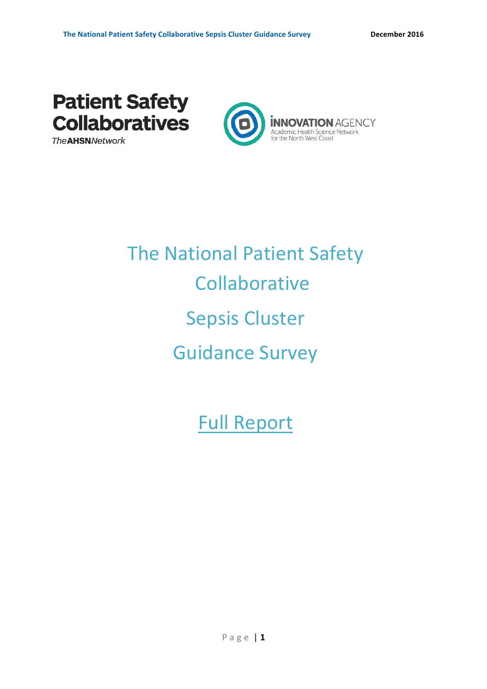

**The AHSN Network** 



# **The National Patient Safety Collaborative** Sepsis Cluster Guidance Survey

**Full Report**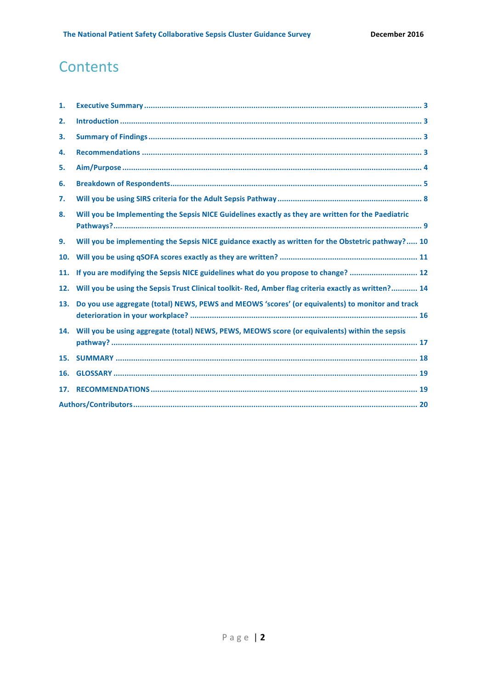# **Contents**

| 1.  |                                                                                                     |  |
|-----|-----------------------------------------------------------------------------------------------------|--|
| 2.  |                                                                                                     |  |
| 3.  |                                                                                                     |  |
| 4.  |                                                                                                     |  |
| 5.  |                                                                                                     |  |
| 6.  |                                                                                                     |  |
| 7.  |                                                                                                     |  |
| 8.  | Will you be Implementing the Sepsis NICE Guidelines exactly as they are written for the Paediatric  |  |
| 9.  | Will you be implementing the Sepsis NICE guidance exactly as written for the Obstetric pathway? 10  |  |
| 10. |                                                                                                     |  |
| 11. | If you are modifying the Sepsis NICE guidelines what do you propose to change?  12                  |  |
| 12. | Will you be using the Sepsis Trust Clinical toolkit-Red, Amber flag criteria exactly as written? 14 |  |
| 13. | Do you use aggregate (total) NEWS, PEWS and MEOWS 'scores' (or equivalents) to monitor and track    |  |
| 14. | Will you be using aggregate (total) NEWS, PEWS, MEOWS score (or equivalents) within the sepsis      |  |
| 15. |                                                                                                     |  |
| 16. |                                                                                                     |  |
| 17. |                                                                                                     |  |
|     |                                                                                                     |  |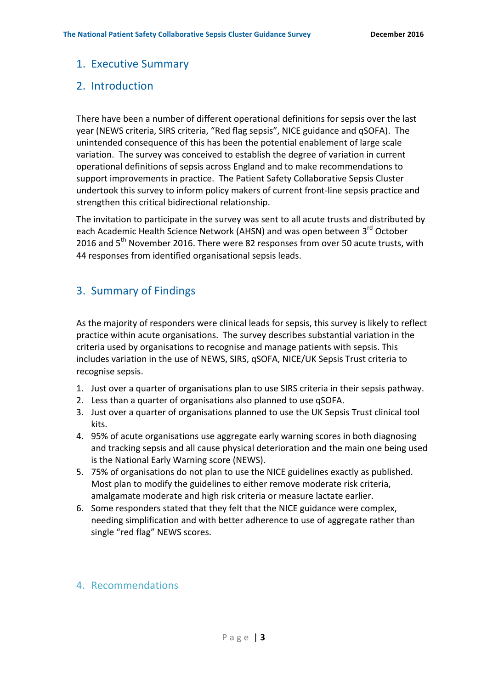#### 1. Executive Summary

#### 2. Introduction

There have been a number of different operational definitions for sepsis over the last year (NEWS criteria, SIRS criteria, "Red flag sepsis", NICE guidance and qSOFA). The unintended consequence of this has been the potential enablement of large scale variation. The survey was conceived to establish the degree of variation in current operational definitions of sepsis across England and to make recommendations to support improvements in practice. The Patient Safety Collaborative Sepsis Cluster undertook this survey to inform policy makers of current front-line sepsis practice and strengthen this critical bidirectional relationship.

The invitation to participate in the survey was sent to all acute trusts and distributed by each Academic Health Science Network (AHSN) and was open between 3<sup>rd</sup> October 2016 and 5<sup>th</sup> November 2016. There were 82 responses from over 50 acute trusts, with 44 responses from identified organisational sepsis leads.

## 3. Summary of Findings

As the majority of responders were clinical leads for sepsis, this survey is likely to reflect practice within acute organisations. The survey describes substantial variation in the criteria used by organisations to recognise and manage patients with sepsis. This includes variation in the use of NEWS, SIRS, qSOFA, NICE/UK Sepsis Trust criteria to recognise sepsis.

- 1. Just over a quarter of organisations plan to use SIRS criteria in their sepsis pathway.
- 2. Less than a quarter of organisations also planned to use qSOFA.
- 3. Just over a quarter of organisations planned to use the UK Sepsis Trust clinical tool kits.
- 4. 95% of acute organisations use aggregate early warning scores in both diagnosing and tracking sepsis and all cause physical deterioration and the main one being used is the National Early Warning score (NEWS).
- 5. 75% of organisations do not plan to use the NICE guidelines exactly as published. Most plan to modify the guidelines to either remove moderate risk criteria, amalgamate moderate and high risk criteria or measure lactate earlier.
- 6. Some responders stated that they felt that the NICE guidance were complex, needing simplification and with better adherence to use of aggregate rather than single "red flag" NEWS scores.

#### 4. Recommendations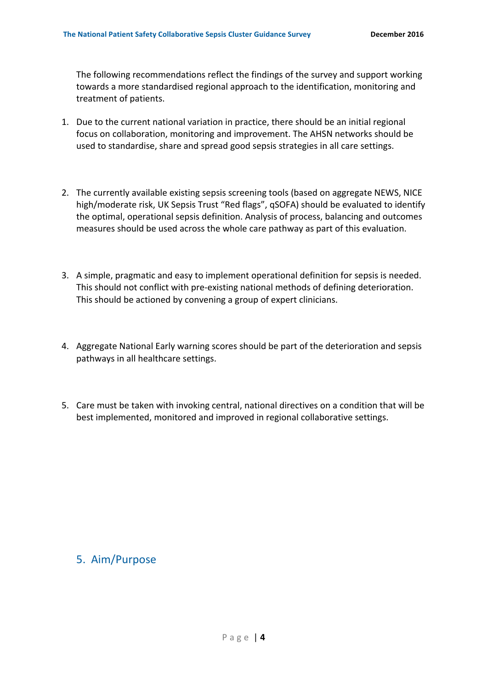The following recommendations reflect the findings of the survey and support working towards a more standardised regional approach to the identification, monitoring and treatment of patients.

- 1. Due to the current national variation in practice, there should be an initial regional focus on collaboration, monitoring and improvement. The AHSN networks should be used to standardise, share and spread good sepsis strategies in all care settings.
- 2. The currently available existing sepsis screening tools (based on aggregate NEWS, NICE high/moderate risk, UK Sepsis Trust "Red flags", qSOFA) should be evaluated to identify the optimal, operational sepsis definition. Analysis of process, balancing and outcomes measures should be used across the whole care pathway as part of this evaluation.
- 3. A simple, pragmatic and easy to implement operational definition for sepsis is needed. This should not conflict with pre-existing national methods of defining deterioration. This should be actioned by convening a group of expert clinicians.
- 4. Aggregate National Early warning scores should be part of the deterioration and sepsis pathways in all healthcare settings.
- 5. Care must be taken with invoking central, national directives on a condition that will be best implemented, monitored and improved in regional collaborative settings.

### 5. Aim/Purpose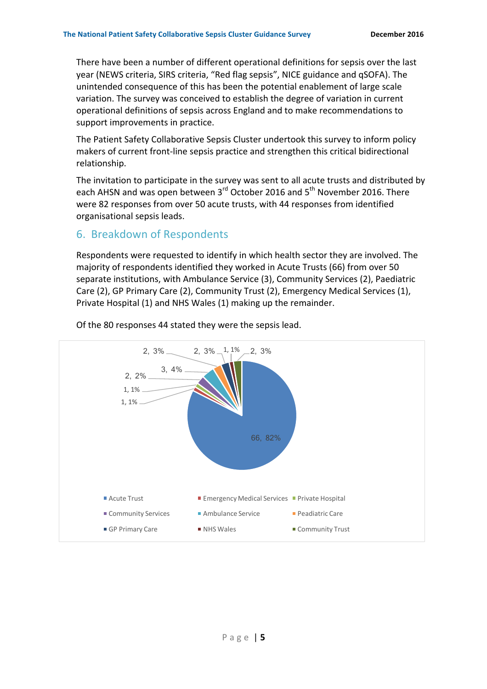There have been a number of different operational definitions for sepsis over the last year (NEWS criteria, SIRS criteria, "Red flag sepsis", NICE guidance and qSOFA). The unintended consequence of this has been the potential enablement of large scale variation. The survey was conceived to establish the degree of variation in current operational definitions of sepsis across England and to make recommendations to support improvements in practice.

The Patient Safety Collaborative Sepsis Cluster undertook this survey to inform policy makers of current front-line sepsis practice and strengthen this critical bidirectional relationship.

The invitation to participate in the survey was sent to all acute trusts and distributed by each AHSN and was open between 3<sup>rd</sup> October 2016 and 5<sup>th</sup> November 2016. There were 82 responses from over 50 acute trusts, with 44 responses from identified organisational sepsis leads.

#### 6. Breakdown of Respondents

Respondents were requested to identify in which health sector they are involved. The majority of respondents identified they worked in Acute Trusts (66) from over 50 separate institutions, with Ambulance Service (3), Community Services (2), Paediatric Care (2), GP Primary Care (2), Community Trust (2), Emergency Medical Services (1), Private Hospital (1) and NHS Wales (1) making up the remainder.



Of the 80 responses 44 stated they were the sepsis lead.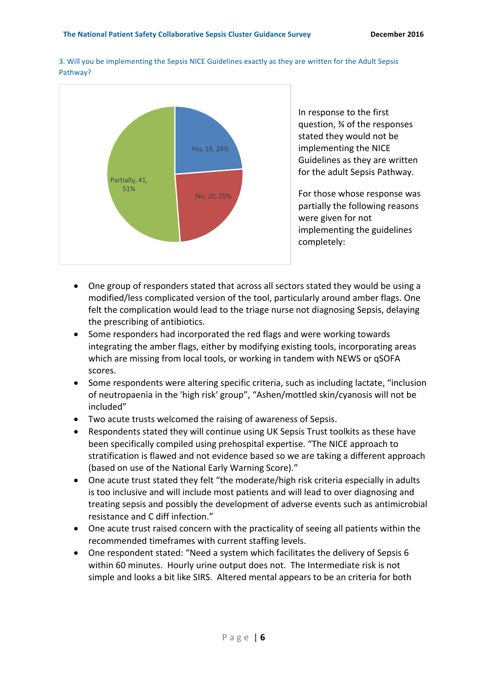

3. Will you be implementing the Sepsis NICE Guidelines exactly as they are written for the Adult Sepsis Pathway?

> In response to the first question, ¾ of the responses stated they would not be implementing the NICE Guidelines as they are written for the adult Sepsis Pathway.

For those whose response was partially the following reasons were given for not implementing the guidelines completely:

- One group of responders stated that across all sectors stated they would be using a modified/less complicated version of the tool, particularly around amber flags. One felt the complication would lead to the triage nurse not diagnosing Sepsis, delaying the prescribing of antibiotics.
- Some responders had incorporated the red flags and were working towards integrating the amber flags, either by modifying existing tools, incorporating areas which are missing from local tools, or working in tandem with NEWS or qSOFA scores.
- Some respondents were altering specific criteria, such as including lactate, "inclusion of neutropaenia in the 'high risk' group", "Ashen/mottled skin/cyanosis will not be included"
- Two acute trusts welcomed the raising of awareness of Sepsis.
- Respondents stated they will continue using UK Sepsis Trust toolkits as these have been specifically compiled using prehospital expertise. "The NICE approach to stratification is flawed and not evidence based so we are taking a different approach (based on use of the National Early Warning Score)."
- One acute trust stated they felt "the moderate/high risk criteria especially in adults is too inclusive and will include most patients and will lead to over diagnosing and treating sepsis and possibly the development of adverse events such as antimicrobial resistance and C diff infection."
- One acute trust raised concern with the practicality of seeing all patients within the recommended timeframes with current staffing levels.
- One respondent stated: "Need a system which facilitates the delivery of Sepsis 6 within 60 minutes. Hourly urine output does not. The Intermediate risk is not simple and looks a bit like SIRS. Altered mental appears to be an criteria for both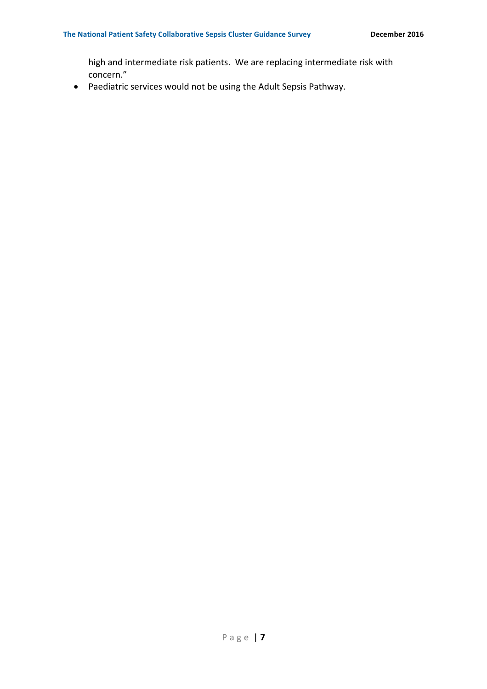high and intermediate risk patients. We are replacing intermediate risk with concern."

• Paediatric services would not be using the Adult Sepsis Pathway.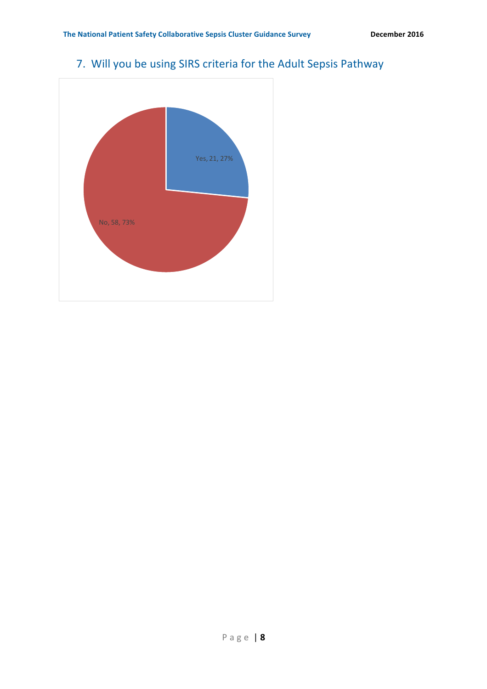

# 7. Will you be using SIRS criteria for the Adult Sepsis Pathway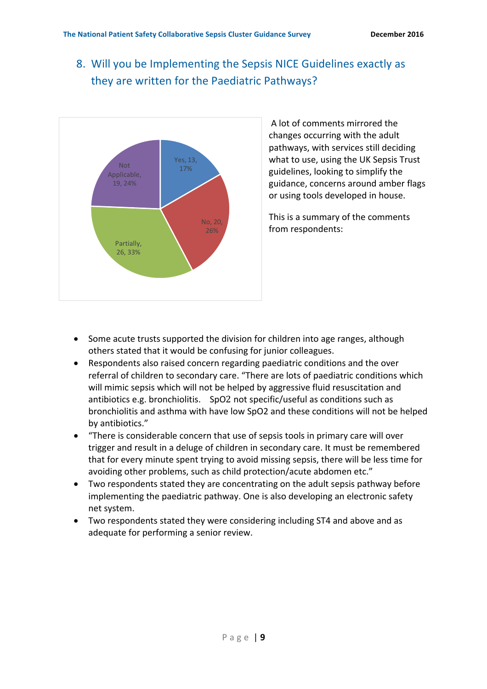## 8. Will you be Implementing the Sepsis NICE Guidelines exactly as they are written for the Paediatric Pathways?



A lot of comments mirrored the changes occurring with the adult pathways, with services still deciding what to use, using the UK Sepsis Trust guidelines, looking to simplify the guidance, concerns around amber flags or using tools developed in house.

This is a summary of the comments from respondents:

- Some acute trusts supported the division for children into age ranges, although others stated that it would be confusing for junior colleagues.
- Respondents also raised concern regarding paediatric conditions and the over referral of children to secondary care. "There are lots of paediatric conditions which will mimic sepsis which will not be helped by aggressive fluid resuscitation and antibiotics e.g. bronchiolitis. SpO2 not specific/useful as conditions such as bronchiolitis and asthma with have low SpO2 and these conditions will not be helped by antibiotics."
- "There is considerable concern that use of sepsis tools in primary care will over trigger and result in a deluge of children in secondary care. It must be remembered that for every minute spent trying to avoid missing sepsis, there will be less time for avoiding other problems, such as child protection/acute abdomen etc."
- Two respondents stated they are concentrating on the adult sepsis pathway before implementing the paediatric pathway. One is also developing an electronic safety net system.
- Two respondents stated they were considering including ST4 and above and as adequate for performing a senior review.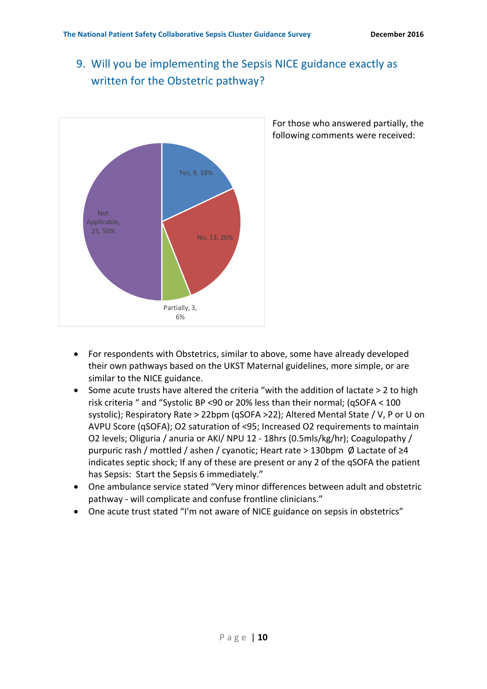## 9. Will you be implementing the Sepsis NICE guidance exactly as written for the Obstetric pathway?



For those who answered partially, the following comments were received:

- For respondents with Obstetrics, similar to above, some have already developed their own pathways based on the UKST Maternal guidelines, more simple, or are similar to the NICE guidance.
- Some acute trusts have altered the criteria "with the addition of lactate > 2 to high risk criteria " and "Systolic BP <90 or 20% less than their normal; (qSOFA <  $100$ systolic); Respiratory Rate > 22bpm (qSOFA >22); Altered Mental State / V, P or U on AVPU Score (qSOFA); O2 saturation of <95; Increased O2 requirements to maintain O2 levels; Oliguria / anuria or AKI/ NPU 12 - 18hrs (0.5mls/kg/hr); Coagulopathy / purpuric rash / mottled / ashen / cyanotic; Heart rate > 130bpm  $\emptyset$  Lactate of ≥4 indicates septic shock; If any of these are present or any 2 of the qSOFA the patient has Sepsis: Start the Sepsis 6 immediately."
- One ambulance service stated "Very minor differences between adult and obstetric pathway - will complicate and confuse frontline clinicians."
- One acute trust stated "I'm not aware of NICE guidance on sepsis in obstetrics"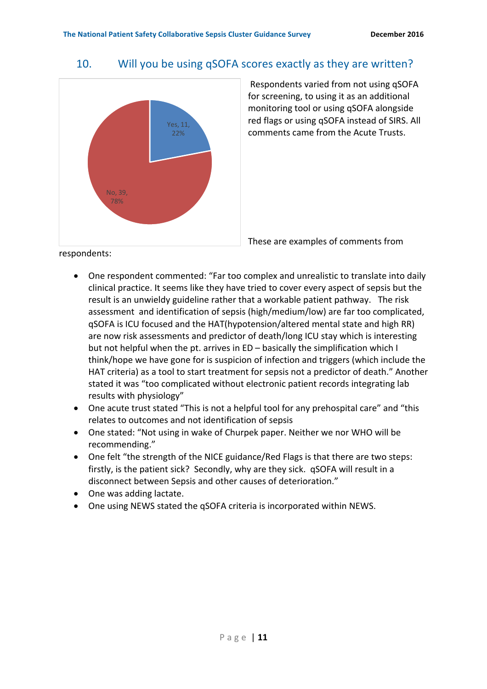#### 10. Will you be using qSOFA scores exactly as they are written?



Respondents varied from not using qSOFA for screening, to using it as an additional monitoring tool or using qSOFA alongside red flags or using qSOFA instead of SIRS. All comments came from the Acute Trusts.

respondents: 

- These are examples of comments from
- One respondent commented: "Far too complex and unrealistic to translate into daily clinical practice. It seems like they have tried to cover every aspect of sepsis but the result is an unwieldy guideline rather that a workable patient pathway. The risk assessment and identification of sepsis (high/medium/low) are far too complicated, gSOFA is ICU focused and the HAT(hypotension/altered mental state and high RR) are now risk assessments and predictor of death/long ICU stay which is interesting but not helpful when the pt. arrives in  $ED -$  basically the simplification which I think/hope we have gone for is suspicion of infection and triggers (which include the HAT criteria) as a tool to start treatment for sepsis not a predictor of death." Another stated it was "too complicated without electronic patient records integrating lab results with physiology"
- One acute trust stated "This is not a helpful tool for any prehospital care" and "this relates to outcomes and not identification of sepsis
- One stated: "Not using in wake of Churpek paper. Neither we nor WHO will be recommending."
- One felt "the strength of the NICE guidance/Red Flags is that there are two steps: firstly, is the patient sick? Secondly, why are they sick. qSOFA will result in a disconnect between Sepsis and other causes of deterioration."
- One was adding lactate.
- One using NEWS stated the gSOFA criteria is incorporated within NEWS.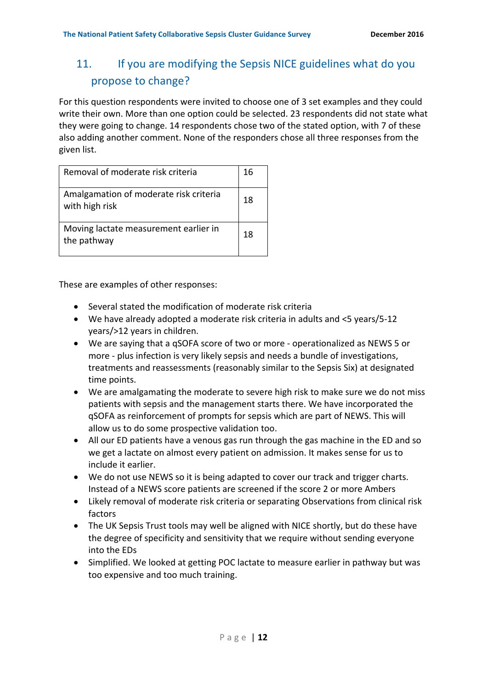## 11. If you are modifying the Sepsis NICE guidelines what do you propose to change?

For this question respondents were invited to choose one of 3 set examples and they could write their own. More than one option could be selected. 23 respondents did not state what they were going to change. 14 respondents chose two of the stated option, with 7 of these also adding another comment. None of the responders chose all three responses from the given list.

| Removal of moderate risk criteria                        | 16 |
|----------------------------------------------------------|----|
| Amalgamation of moderate risk criteria<br>with high risk | 18 |
| Moving lactate measurement earlier in<br>the pathway     | 18 |

These are examples of other responses:

- Several stated the modification of moderate risk criteria
- We have already adopted a moderate risk criteria in adults and  $\leq$  years/5-12 years/>12 years in children.
- We are saying that a qSOFA score of two or more operationalized as NEWS 5 or more - plus infection is very likely sepsis and needs a bundle of investigations, treatments and reassessments (reasonably similar to the Sepsis Six) at designated time points.
- We are amalgamating the moderate to severe high risk to make sure we do not miss patients with sepsis and the management starts there. We have incorporated the gSOFA as reinforcement of prompts for sepsis which are part of NEWS. This will allow us to do some prospective validation too.
- All our ED patients have a venous gas run through the gas machine in the ED and so we get a lactate on almost every patient on admission. It makes sense for us to include it earlier.
- We do not use NEWS so it is being adapted to cover our track and trigger charts. Instead of a NEWS score patients are screened if the score 2 or more Ambers
- Likely removal of moderate risk criteria or separating Observations from clinical risk factors
- The UK Sepsis Trust tools may well be aligned with NICE shortly, but do these have the degree of specificity and sensitivity that we require without sending everyone into the EDs
- Simplified. We looked at getting POC lactate to measure earlier in pathway but was too expensive and too much training.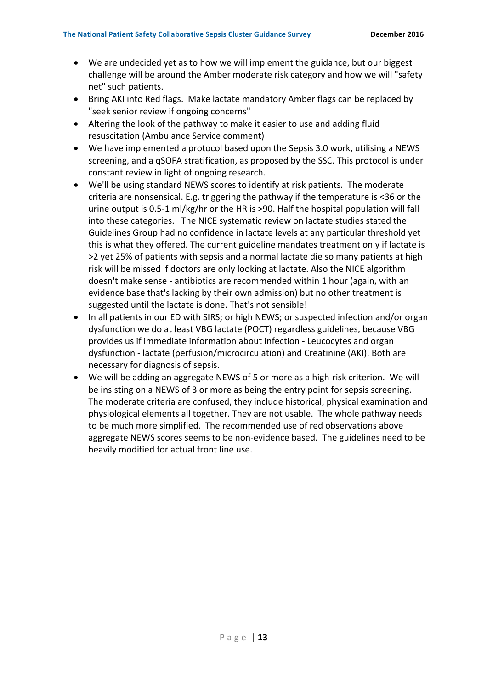- We are undecided yet as to how we will implement the guidance, but our biggest challenge will be around the Amber moderate risk category and how we will "safety net" such patients.
- Bring AKI into Red flags. Make lactate mandatory Amber flags can be replaced by "seek senior review if ongoing concerns"
- Altering the look of the pathway to make it easier to use and adding fluid resuscitation (Ambulance Service comment)
- We have implemented a protocol based upon the Sepsis 3.0 work, utilising a NEWS screening, and a qSOFA stratification, as proposed by the SSC. This protocol is under constant review in light of ongoing research.
- We'll be using standard NEWS scores to identify at risk patients. The moderate criteria are nonsensical. E.g. triggering the pathway if the temperature is  $\lt 36$  or the urine output is  $0.5-1$  ml/kg/hr or the HR is >90. Half the hospital population will fall into these categories. The NICE systematic review on lactate studies stated the Guidelines Group had no confidence in lactate levels at any particular threshold yet this is what they offered. The current guideline mandates treatment only if lactate is >2 yet 25% of patients with sepsis and a normal lactate die so many patients at high risk will be missed if doctors are only looking at lactate. Also the NICE algorithm doesn't make sense - antibiotics are recommended within 1 hour (again, with an evidence base that's lacking by their own admission) but no other treatment is suggested until the lactate is done. That's not sensible!
- In all patients in our ED with SIRS; or high NEWS; or suspected infection and/or organ dysfunction we do at least VBG lactate (POCT) regardless guidelines, because VBG provides us if immediate information about infection - Leucocytes and organ dysfunction - lactate (perfusion/microcirculation) and Creatinine (AKI). Both are necessary for diagnosis of sepsis.
- We will be adding an aggregate NEWS of 5 or more as a high-risk criterion. We will be insisting on a NEWS of 3 or more as being the entry point for sepsis screening. The moderate criteria are confused, they include historical, physical examination and physiological elements all together. They are not usable. The whole pathway needs to be much more simplified. The recommended use of red observations above aggregate NEWS scores seems to be non-evidence based. The guidelines need to be heavily modified for actual front line use.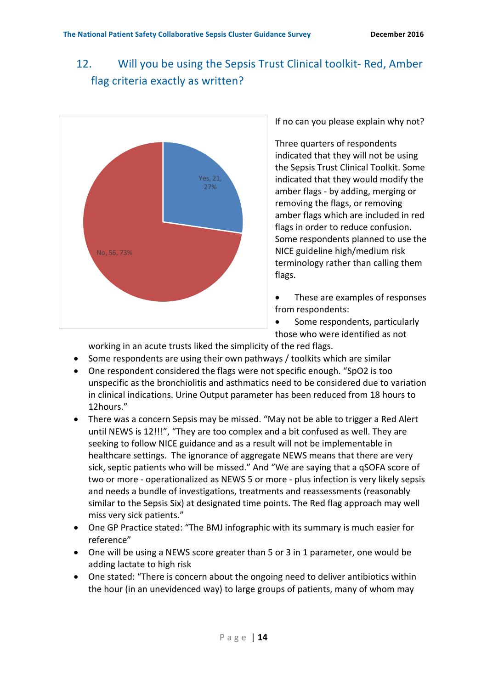## 12. Will you be using the Sepsis Trust Clinical toolkit- Red, Amber flag criteria exactly as written?



If no can you please explain why not?

Three quarters of respondents indicated that they will not be using the Sepsis Trust Clinical Toolkit. Some indicated that they would modify the amber flags - by adding, merging or removing the flags, or removing amber flags which are included in red flags in order to reduce confusion. Some respondents planned to use the NICE guideline high/medium risk terminology rather than calling them flags.

• These are examples of responses from respondents:

• Some respondents, particularly those who were identified as not

working in an acute trusts liked the simplicity of the red flags.

- Some respondents are using their own pathways / toolkits which are similar
- One respondent considered the flags were not specific enough. "SpO2 is too unspecific as the bronchiolitis and asthmatics need to be considered due to variation in clinical indications. Urine Output parameter has been reduced from 18 hours to 12hours."
- There was a concern Sepsis may be missed. "May not be able to trigger a Red Alert until NEWS is 12!!!", "They are too complex and a bit confused as well. They are seeking to follow NICE guidance and as a result will not be implementable in healthcare settings. The ignorance of aggregate NEWS means that there are very sick, septic patients who will be missed." And "We are saying that a qSOFA score of two or more - operationalized as NEWS 5 or more - plus infection is very likely sepsis and needs a bundle of investigations, treatments and reassessments (reasonably similar to the Sepsis Six) at designated time points. The Red flag approach may well miss very sick patients."
- One GP Practice stated: "The BMJ infographic with its summary is much easier for reference"
- One will be using a NEWS score greater than 5 or 3 in 1 parameter, one would be adding lactate to high risk
- One stated: "There is concern about the ongoing need to deliver antibiotics within the hour (in an unevidenced way) to large groups of patients, many of whom may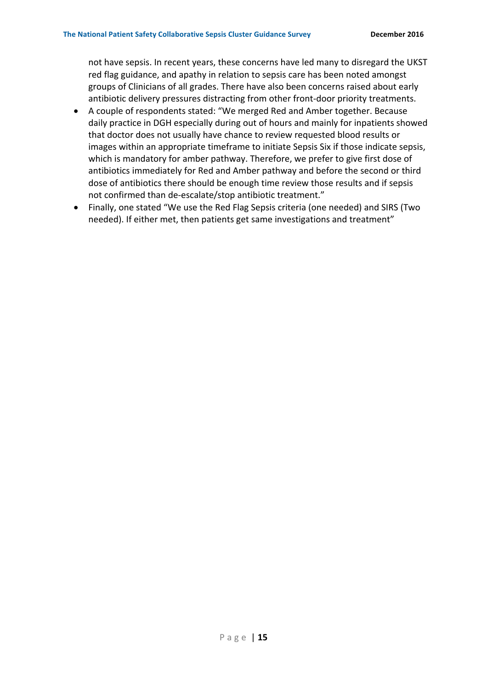not have sepsis. In recent years, these concerns have led many to disregard the UKST red flag guidance, and apathy in relation to sepsis care has been noted amongst groups of Clinicians of all grades. There have also been concerns raised about early antibiotic delivery pressures distracting from other front-door priority treatments.

- A couple of respondents stated: "We merged Red and Amber together. Because daily practice in DGH especially during out of hours and mainly for inpatients showed that doctor does not usually have chance to review requested blood results or images within an appropriate timeframe to initiate Sepsis Six if those indicate sepsis, which is mandatory for amber pathway. Therefore, we prefer to give first dose of antibiotics immediately for Red and Amber pathway and before the second or third dose of antibiotics there should be enough time review those results and if sepsis not confirmed than de-escalate/stop antibiotic treatment."
- Finally, one stated "We use the Red Flag Sepsis criteria (one needed) and SIRS (Two needed). If either met, then patients get same investigations and treatment"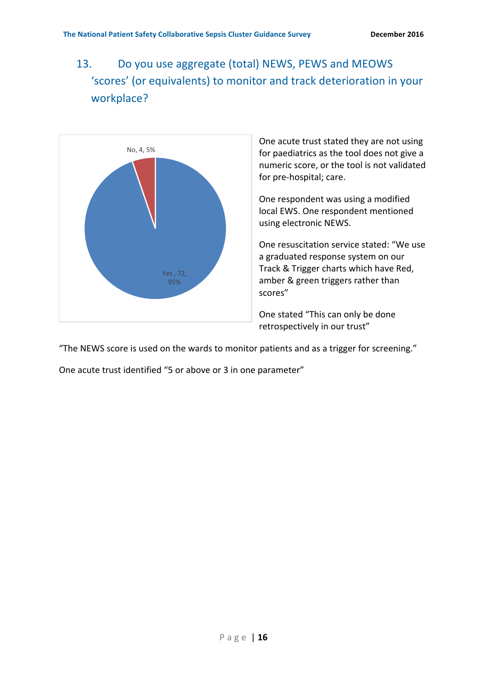13. Do you use aggregate (total) NEWS, PEWS and MEOWS 'scores' (or equivalents) to monitor and track deterioration in your workplace?



One acute trust stated they are not using for paediatrics as the tool does not give a numeric score, or the tool is not validated for pre-hospital; care.

One respondent was using a modified local EWS. One respondent mentioned using electronic NEWS.

One resuscitation service stated: "We use a graduated response system on our Track & Trigger charts which have Red, amber & green triggers rather than scores"

One stated "This can only be done retrospectively in our trust"

"The NEWS score is used on the wards to monitor patients and as a trigger for screening."

One acute trust identified "5 or above or 3 in one parameter"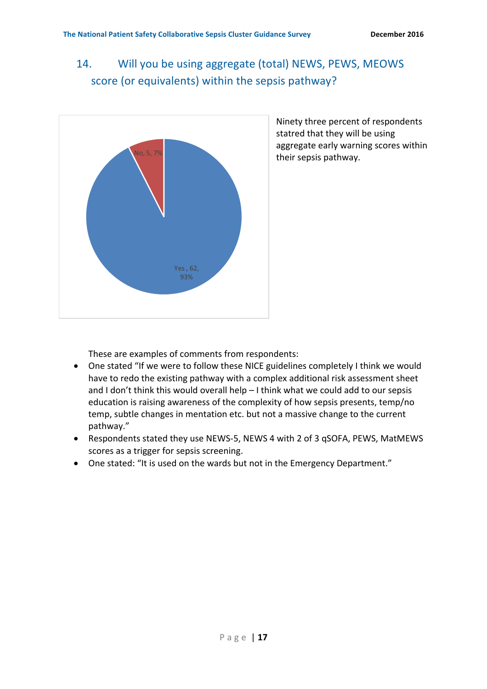## 14. Will you be using aggregate (total) NEWS, PEWS, MEOWS score (or equivalents) within the sepsis pathway?



Ninety three percent of respondents statred that they will be using aggregate early warning scores within their sepsis pathway.

These are examples of comments from respondents:

- One stated "If we were to follow these NICE guidelines completely I think we would have to redo the existing pathway with a complex additional risk assessment sheet and I don't think this would overall help  $-1$  think what we could add to our sepsis education is raising awareness of the complexity of how sepsis presents, temp/no temp, subtle changes in mentation etc. but not a massive change to the current pathway."
- Respondents stated they use NEWS-5, NEWS 4 with 2 of 3 qSOFA, PEWS, MatMEWS scores as a trigger for sepsis screening.
- One stated: "It is used on the wards but not in the Emergency Department."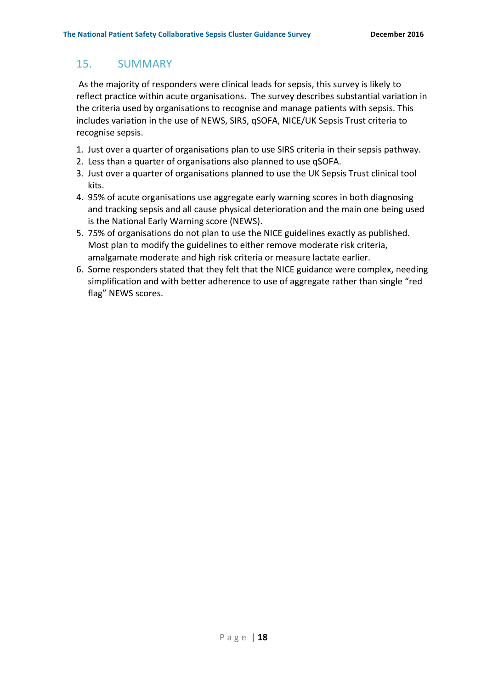## 15. SUMMARY

As the majority of responders were clinical leads for sepsis, this survey is likely to reflect practice within acute organisations. The survey describes substantial variation in the criteria used by organisations to recognise and manage patients with sepsis. This includes variation in the use of NEWS, SIRS, qSOFA, NICE/UK Sepsis Trust criteria to recognise sepsis.

- 1. Just over a quarter of organisations plan to use SIRS criteria in their sepsis pathway.
- 2. Less than a quarter of organisations also planned to use qSOFA.
- 3. Just over a quarter of organisations planned to use the UK Sepsis Trust clinical tool kits.
- 4. 95% of acute organisations use aggregate early warning scores in both diagnosing and tracking sepsis and all cause physical deterioration and the main one being used is the National Early Warning score (NEWS).
- 5. 75% of organisations do not plan to use the NICE guidelines exactly as published. Most plan to modify the guidelines to either remove moderate risk criteria, amalgamate moderate and high risk criteria or measure lactate earlier.
- 6. Some responders stated that they felt that the NICE guidance were complex, needing simplification and with better adherence to use of aggregate rather than single "red flag" NEWS scores.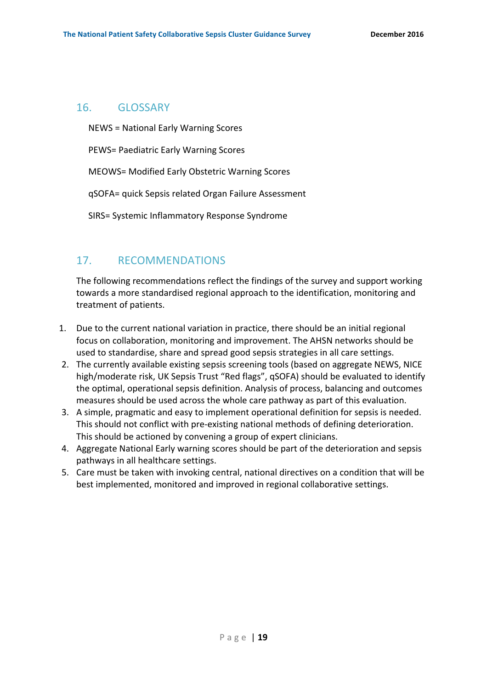#### 16. GLOSSARY

NEWS = National Early Warning Scores

PEWS= Paediatric Early Warning Scores

MEOWS= Modified Early Obstetric Warning Scores

qSOFA= quick Sepsis related Organ Failure Assessment

SIRS= Systemic Inflammatory Response Syndrome

## 17. RECOMMENDATIONS

The following recommendations reflect the findings of the survey and support working towards a more standardised regional approach to the identification, monitoring and treatment of patients.

- 1. Due to the current national variation in practice, there should be an initial regional focus on collaboration, monitoring and improvement. The AHSN networks should be used to standardise, share and spread good sepsis strategies in all care settings.
- 2. The currently available existing sepsis screening tools (based on aggregate NEWS, NICE high/moderate risk, UK Sepsis Trust "Red flags", qSOFA) should be evaluated to identify the optimal, operational sepsis definition. Analysis of process, balancing and outcomes measures should be used across the whole care pathway as part of this evaluation.
- 3. A simple, pragmatic and easy to implement operational definition for sepsis is needed. This should not conflict with pre-existing national methods of defining deterioration. This should be actioned by convening a group of expert clinicians.
- 4. Aggregate National Early warning scores should be part of the deterioration and sepsis pathways in all healthcare settings.
- 5. Care must be taken with invoking central, national directives on a condition that will be best implemented, monitored and improved in regional collaborative settings.